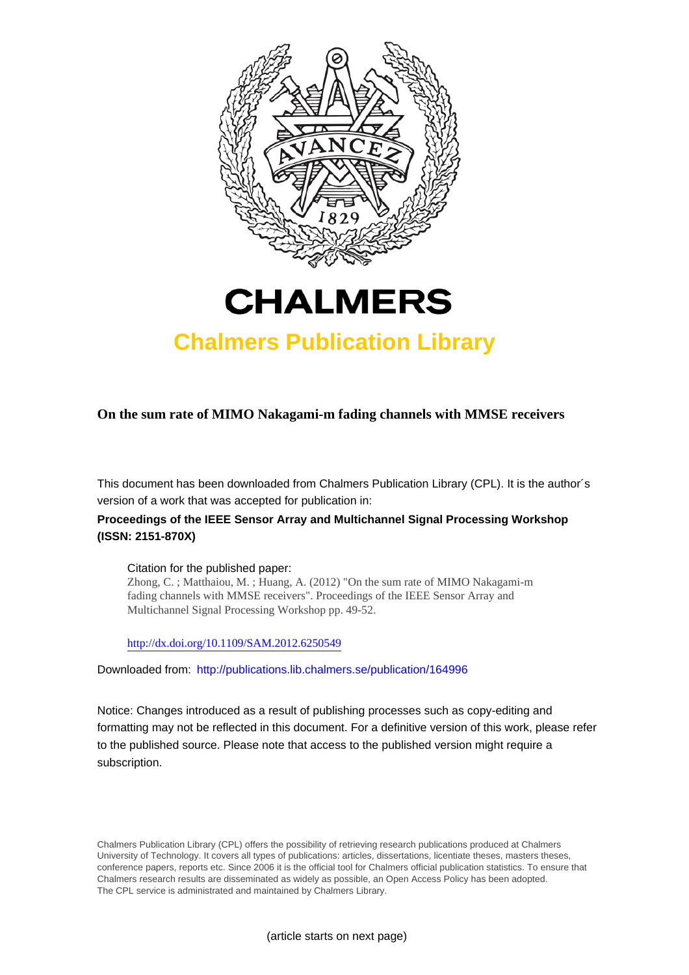



## **Chalmers Publication Library**

**On the sum rate of MIMO Nakagami-m fading channels with MMSE receivers**

This document has been downloaded from Chalmers Publication Library (CPL). It is the author´s version of a work that was accepted for publication in:

### **Proceedings of the IEEE Sensor Array and Multichannel Signal Processing Workshop (ISSN: 2151-870X)**

#### Citation for the published paper:

Zhong, C. ; Matthaiou, M. ; Huang, A. (2012) "On the sum rate of MIMO Nakagami-m fading channels with MMSE receivers". Proceedings of the IEEE Sensor Array and Multichannel Signal Processing Workshop pp. 49-52.

<http://dx.doi.org/10.1109/SAM.2012.6250549>

Downloaded from: <http://publications.lib.chalmers.se/publication/164996>

Notice: Changes introduced as a result of publishing processes such as copy-editing and formatting may not be reflected in this document. For a definitive version of this work, please refer to the published source. Please note that access to the published version might require a subscription.

Chalmers Publication Library (CPL) offers the possibility of retrieving research publications produced at Chalmers University of Technology. It covers all types of publications: articles, dissertations, licentiate theses, masters theses, conference papers, reports etc. Since 2006 it is the official tool for Chalmers official publication statistics. To ensure that Chalmers research results are disseminated as widely as possible, an Open Access Policy has been adopted. The CPL service is administrated and maintained by Chalmers Library.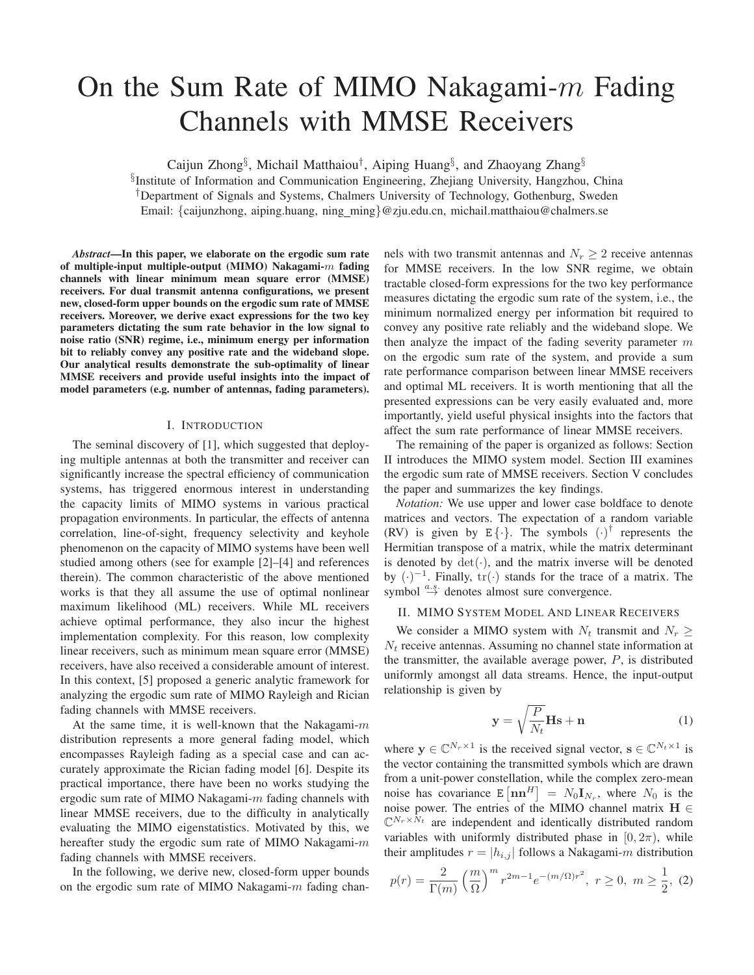# On the Sum Rate of MIMO Nakagami- $m$  Fading Channels with MMSE Receivers

Caijun Zhong<sup>§</sup>, Michail Matthaiou<sup>†</sup>, Aiping Huang<sup>§</sup>, and Zhaoyang Zhang<sup>§</sup>

§Institute of Information and Communication Engineering, Zhejiang University, Hangzhou, China †Department of Signals and Systems, Chalmers University of Technology, Gothenburg, Sweden Email: {caijunzhong, aiping.huang, ning ming}@zju.edu.cn, michail.matthaiou@chalmers.se

*Abstract***—In this paper, we elaborate on the ergodic sum rate of multiple-input multiple-output (MIMO) Nakagami-** $m$  fading **channels with linear minimum mean square error (MMSE) receivers. For dual transmit antenna configurations, we present new, closed-form upper bounds on the ergodic sum rate of MMSE receivers. Moreover, we derive exact expressions for the two key parameters dictating the sum rate behavior in the low signal to noise ratio (SNR) regime, i.e., minimum energy per information bit to reliably convey any positive rate and the wideband slope. Our analytical results demonstrate the sub-optimality of linear MMSE receivers and provide useful insights into the impact of model parameters (e.g. number of antennas, fading parameters).**

#### I. INTRODUCTION

The seminal discovery of [1], which suggested that deploying multiple antennas at both the transmitter and receiver can significantly increase the spectral efficiency of communication systems, has triggered enormous interest in understanding the capacity limits of MIMO systems in various practical propagation environments. In particular, the effects of antenna correlation, line-of-sight, frequency selectivity and keyhole phenomenon on the capacity of MIMO systems have been well studied among others (see for example [2]–[4] and references therein). The common characteristic of the above mentioned works is that they all assume the use of optimal nonlinear maximum likelihood (ML) receivers. While ML receivers achieve optimal performance, they also incur the highest implementation complexity. For this reason, low complexity linear receivers, such as minimum mean square error (MMSE) receivers, have also received a considerable amount of interest. In this context, [5] proposed a generic analytic framework for analyzing the ergodic sum rate of MIMO Rayleigh and Rician fading channels with MMSE receivers.

At the same time, it is well-known that the Nakagami- $m$ distribution represents a more general fading model, which encompasses Rayleigh fading as a special case and can accurately approximate the Rician fading model [6]. Despite its practical importance, there have been no works studying the ergodic sum rate of MIMO Nakagami- $m$  fading channels with linear MMSE receivers, due to the difficulty in analytically evaluating the MIMO eigenstatistics. Motivated by this, we hereafter study the ergodic sum rate of MIMO Nakagami- $m$ fading channels with MMSE receivers.

In the following, we derive new, closed-form upper bounds on the ergodic sum rate of MIMO Nakagami- $m$  fading channels with two transmit antennas and  $N_r \geq 2$  receive antennas for MMSE receivers. In the low SNR regime, we obtain tractable closed-form expressions for the two key performance measures dictating the ergodic sum rate of the system, i.e., the minimum normalized energy per information bit required to convey any positive rate reliably and the wideband slope. We then analyze the impact of the fading severity parameter  $m$ on the ergodic sum rate of the system, and provide a sum rate performance comparison between linear MMSE receivers and optimal ML receivers. It is worth mentioning that all the presented expressions can be very easily evaluated and, more importantly, yield useful physical insights into the factors that affect the sum rate performance of linear MMSE receivers.

The remaining of the paper is organized as follows: Section II introduces the MIMO system model. Section III examines the ergodic sum rate of MMSE receivers. Section V concludes the paper and summarizes the key findings.

*Notation:* We use upper and lower case boldface to denote matrices and vectors. The expectation of a random variable (RV) is given by  $E\{\cdot\}$ . The symbols  $(\cdot)^{\dagger}$  represents the Hermitian transpose of a matrix, while the matrix determinant is denoted by  $det(\cdot)$ , and the matrix inverse will be denoted by  $(\cdot)^{-1}$ . Finally, tr $(\cdot)$  stands for the trace of a matrix. The symbol  $\stackrel{a.s.}{\rightarrow}$  denotes almost sure convergence.

#### II. MIMO SYSTEM MODEL AND LINEAR RECEIVERS

We consider a MIMO system with  $N_t$  transmit and  $N_r \geq$  $N_t$  receive antennas. Assuming no channel state information at the transmitter, the available average power,  $P$ , is distributed uniformly amongst all data streams. Hence, the input-output relationship is given by

$$
\mathbf{y} = \sqrt{\frac{P}{N_t}} \mathbf{Hs} + \mathbf{n}
$$
 (1)

where  $y \in \mathbb{C}^{N_r \times 1}$  is the received signal vector,  $\mathbf{s} \in \mathbb{C}^{N_t \times 1}$  is the vector containing the transmitted symbols which are drawn from a unit-power constellation, while the complex zero-mean noise has covariance  $E\left[\mathbf{n}\mathbf{n}^H\right] = N_0 \mathbf{I}_{N_r}$ , where  $N_0$  is the noise power. The entries of the MIMO channel matrix **H** ∈  $\mathbb{C}^{N_r \times N_t}$  are independent and identically distributed random variables with uniformly distributed phase in  $[0, 2\pi)$ , while their amplitudes  $r = |h_{i,j}|$  follows a Nakagami-m distribution

$$
p(r) = \frac{2}{\Gamma(m)} \left(\frac{m}{\Omega}\right)^m r^{2m-1} e^{-(m/\Omega)r^2}, \ r \ge 0, \ m \ge \frac{1}{2}, \ (2)
$$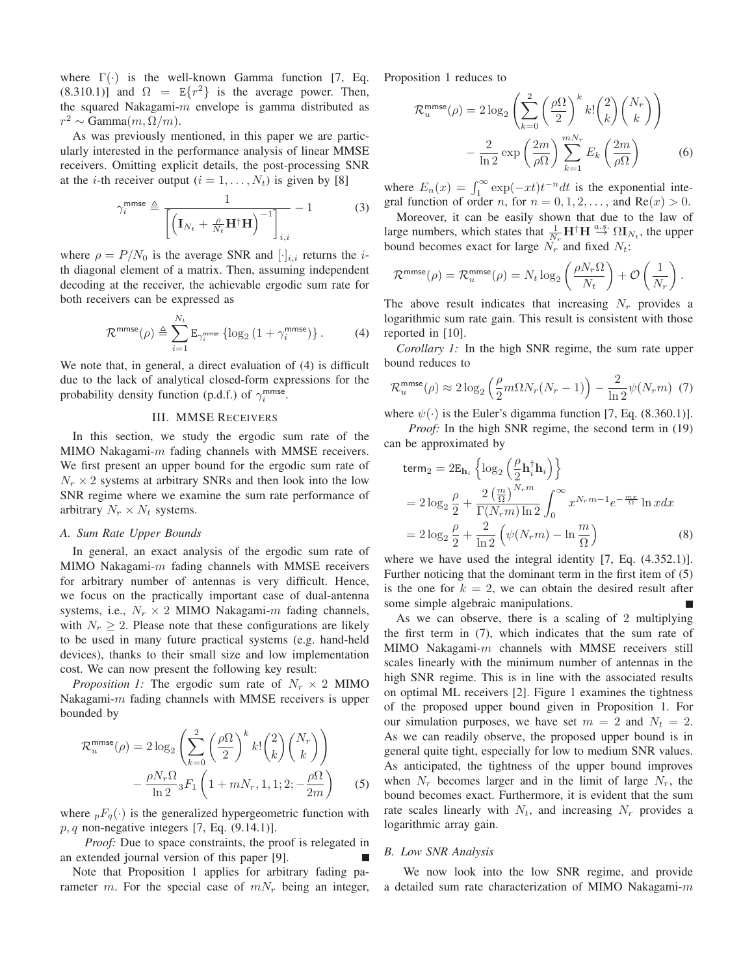where  $\Gamma(\cdot)$  is the well-known Gamma function [7, Eq.  $(8.310.1)$ ] and  $\Omega = E\{r^2\}$  is the average power. Then, the squared Nakagami- $m$  envelope is gamma distributed as  $r^2 \sim \text{Gamma}(m, \Omega/m).$ 

As was previously mentioned, in this paper we are particularly interested in the performance analysis of linear MMSE receivers. Omitting explicit details, the post-processing SNR at the *i*-th receiver output  $(i = 1, \ldots, N_t)$  is given by [8]

$$
\gamma_i^{\text{mmse}} \triangleq \frac{1}{\left[ \left( \mathbf{I}_{N_t} + \frac{\rho}{N_t} \mathbf{H}^\dagger \mathbf{H} \right)^{-1} \right]_{i,i}} - 1 \tag{3}
$$

where  $\rho = P/N_0$  is the average SNR and  $[\cdot]_{i,i}$  returns the *i*th diagonal element of a matrix. Then, assuming independent decoding at the receiver, the achievable ergodic sum rate for both receivers can be expressed as

$$
\mathcal{R}^{\text{mmse}}(\rho) \triangleq \sum_{i=1}^{N_t} \mathbf{E}_{\gamma_i^{\text{mmse}}} \left\{ \log_2 \left( 1 + \gamma_i^{\text{mmse}} \right) \right\}.
$$
 (4)

We note that, in general, a direct evaluation of (4) is difficult due to the lack of analytical closed-form expressions for the probability density function (p.d.f.) of  $\gamma_i^{\text{mmse}}$ .

#### III. MMSE RECEIVERS

In this section, we study the ergodic sum rate of the MIMO Nakagami- $m$  fading channels with MMSE receivers. We first present an upper bound for the ergodic sum rate of  $N_r \times 2$  systems at arbitrary SNRs and then look into the low SNR regime where we examine the sum rate performance of arbitrary  $N_r \times N_t$  systems.

#### *A. Sum Rate Upper Bounds*

In general, an exact analysis of the ergodic sum rate of MIMO Nakagami- $m$  fading channels with MMSE receivers for arbitrary number of antennas is very difficult. Hence, we focus on the practically important case of dual-antenna systems, i.e.,  $N_r \times 2$  MIMO Nakagami-m fading channels, with  $N_r \geq 2$ . Please note that these configurations are likely to be used in many future practical systems (e.g. hand-held devices), thanks to their small size and low implementation cost. We can now present the following key result:

*Proposition 1:* The ergodic sum rate of  $N_r \times 2$  MIMO Nakagami- $m$  fading channels with MMSE receivers is upper bounded by

$$
\mathcal{R}_u^{\text{mmse}}(\rho) = 2\log_2\left(\sum_{k=0}^2 \left(\frac{\rho\Omega}{2}\right)^k k! \binom{2}{k} \binom{N_r}{k}\right) - \frac{\rho N_r \Omega}{\ln 2} {}_3F_1\left(1 + mN_r, 1, 1; 2; -\frac{\rho\Omega}{2m}\right) \tag{5}
$$

where  ${}_{p}F_{q}(\cdot)$  is the generalized hypergeometric function with  $p, q$  non-negative integers [7, Eq. (9.14.1)].

*Proof:* Due to space constraints, the proof is relegated in an extended journal version of this paper [9].

Note that Proposition 1 applies for arbitrary fading parameter  $m$ . For the special case of  $mN_r$  being an integer, Proposition 1 reduces to

$$
\mathcal{R}_u^{\text{mmse}}(\rho) = 2 \log_2 \left( \sum_{k=0}^2 \left( \frac{\rho \Omega}{2} \right)^k k! \binom{2}{k} \binom{N_r}{k} \right) - \frac{2}{\ln 2} \exp \left( \frac{2m}{\rho \Omega} \right) \sum_{k=1}^{mN_r} E_k \left( \frac{2m}{\rho \Omega} \right) \tag{6}
$$

where  $E_n(x) = \int_1^{\infty} \exp(-xt)t^{-n}dt$  is the exponential integral function of order *n*, for  $n = 0, 1, 2, \ldots$ , and  $Re(x) > 0$ .

Moreover, it can be easily shown that due to the law of large numbers, which states that  $\frac{1}{N_r} \mathbf{H}^\dagger \mathbf{H} \stackrel{a.s.}{\rightarrow} \Omega \mathbf{I}_{N_t}$ , the upper bound becomes exact for large  $N_r$  and fixed  $N_t$ :

$$
\mathcal{R}^{\text{mmse}}(\rho) = \mathcal{R}_u^{\text{mmse}}(\rho) = N_t \log_2 \left( \frac{\rho N_r \Omega}{N_t} \right) + \mathcal{O} \left( \frac{1}{N_r} \right).
$$

The above result indicates that increasing  $N_r$  provides a logarithmic sum rate gain. This result is consistent with those reported in [10].

*Corollary 1:* In the high SNR regime, the sum rate upper bound reduces to

$$
\mathcal{R}_u^{\text{mmse}}(\rho) \approx 2\log_2\left(\frac{\rho}{2}m\Omega N_r(N_r-1)\right) - \frac{2}{\ln 2}\psi(N_r m) \tag{7}
$$

where  $\psi(\cdot)$  is the Euler's digamma function [7, Eq. (8.360.1)].

*Proof:* In the high SNR regime, the second term in (19) can be approximated by

$$
\begin{split} \text{term}_{2} &= 2\mathbb{E}_{\mathbf{h}_{i}}\left\{\log_{2}\left(\frac{\rho}{2}\mathbf{h}_{i}^{\dagger}\mathbf{h}_{i}\right)\right\} \\ &= 2\log_{2}\frac{\rho}{2} + \frac{2\left(\frac{m}{\Omega}\right)^{N_{r}m}}{\Gamma(N_{r}m)\ln 2}\int_{0}^{\infty} x^{N_{r}m-1}e^{-\frac{mx}{\Omega}}\ln x dx \\ &= 2\log_{2}\frac{\rho}{2} + \frac{2}{\ln 2}\left(\psi(N_{r}m) - \ln\frac{m}{\Omega}\right) \end{split} \tag{8}
$$

where we have used the integral identity [7, Eq.  $(4.352.1)$ ]. Further noticing that the dominant term in the first item of (5) is the one for  $k = 2$ , we can obtain the desired result after some simple algebraic manipulations.

As we can observe, there is a scaling of 2 multiplying the first term in (7), which indicates that the sum rate of MIMO Nakagami- $m$  channels with MMSE receivers still scales linearly with the minimum number of antennas in the high SNR regime. This is in line with the associated results on optimal ML receivers [2]. Figure 1 examines the tightness of the proposed upper bound given in Proposition 1. For our simulation purposes, we have set  $m = 2$  and  $N_t = 2$ . As we can readily observe, the proposed upper bound is in general quite tight, especially for low to medium SNR values. As anticipated, the tightness of the upper bound improves when  $N_r$  becomes larger and in the limit of large  $N_r$ , the bound becomes exact. Furthermore, it is evident that the sum rate scales linearly with  $N_t$ , and increasing  $N_r$  provides a logarithmic array gain.

#### *B. Low SNR Analysis*

We now look into the low SNR regime, and provide a detailed sum rate characterization of MIMO Nakagami- $m$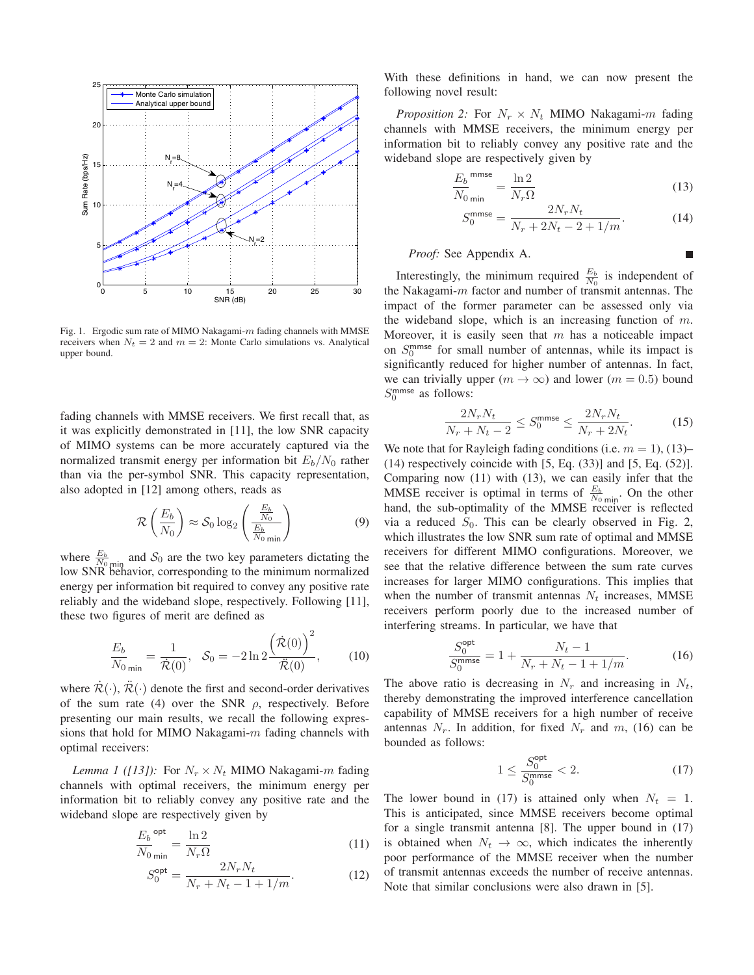

Fig. 1. Ergodic sum rate of MIMO Nakagami- $m$  fading channels with MMSE receivers when  $N_t = 2$  and  $m = 2$ : Monte Carlo simulations vs. Analytical upper bound.

fading channels with MMSE receivers. We first recall that, as it was explicitly demonstrated in [11], the low SNR capacity of MIMO systems can be more accurately captured via the normalized transmit energy per information bit  $E_b/N_0$  rather than via the per-symbol SNR. This capacity representation, also adopted in [12] among others, reads as

$$
\mathcal{R}\left(\frac{E_b}{N_0}\right) \approx \mathcal{S}_0 \log_2\left(\frac{\frac{E_b}{N_0}}{\frac{E_b}{N_0}}\right) \tag{9}
$$

where  $\frac{E_b}{N_0}$  min and  $S_0$  are the two key parameters dictating the low SNR behavior, corresponding to the minimum normalized energy per information bit required to convey any positive rate reliably and the wideband slope, respectively. Following [11], these two figures of merit are defined as

$$
\frac{E_b}{N_0}_{\text{min}} = \frac{1}{\dot{\mathcal{R}}(0)}, \quad \mathcal{S}_0 = -2\ln 2 \frac{\left(\dot{\mathcal{R}}(0)\right)^2}{\ddot{\mathcal{R}}(0)}, \quad (10)
$$

where  $\mathcal{R}(\cdot)$ ,  $\mathcal{R}(\cdot)$  denote the first and second-order derivatives of the sum rate (4) over the SNR  $\rho$ , respectively. Before presenting our main results, we recall the following expressions that hold for MIMO Nakagami- $m$  fading channels with optimal receivers:

*Lemma 1 ([13]):* For  $N_r \times N_t$  MIMO Nakagami-*m* fading channels with optimal receivers, the minimum energy per information bit to reliably convey any positive rate and the wideband slope are respectively given by

$$
\frac{E_b}{N_0 \min} = \frac{\ln 2}{N_r \Omega} \tag{11}
$$

$$
S_0^{\text{opt}} = \frac{2N_r N_t}{N_r + N_t - 1 + 1/m}.
$$
 (12)

With these definitions in hand, we can now present the following novel result:

*Proposition 2:* For  $N_r \times N_t$  MIMO Nakagami- $m$  fading channels with MMSE receivers, the minimum energy per information bit to reliably convey any positive rate and the wideband slope are respectively given by

$$
\frac{E_b}{N_0}_{\text{min}}^{\text{mmse}} = \frac{\ln 2}{N_r \Omega} \tag{13}
$$

$$
S_0^{\text{mmse}} = \frac{2N_r N_t}{N_r + 2N_t - 2 + 1/m}.\tag{14}
$$

#### *Proof:* See Appendix A.

Interestingly, the minimum required  $\frac{E_b}{N_0}$  is independent of the Nakagami- $m$  factor and number of transmit antennas. The impact of the former parameter can be assessed only via the wideband slope, which is an increasing function of  $m$ . Moreover, it is easily seen that  $m$  has a noticeable impact on  $S_0^{\text{mmse}}$  for small number of antennas, while its impact is significantly reduced for higher number of antennas. In fact, we can trivially upper  $(m \to \infty)$  and lower  $(m = 0.5)$  bound  $S_0^{\text{mmse}}$  as follows:

$$
\frac{2N_rN_t}{N_r + N_t - 2} \le S_0^{\text{mmse}} \le \frac{2N_rN_t}{N_r + 2N_t}.\tag{15}
$$

We note that for Rayleigh fading conditions (i.e.  $m = 1$ ), (13)– (14) respectively coincide with [5, Eq. (33)] and [5, Eq. (52)]. Comparing now (11) with (13), we can easily infer that the MMSE receiver is optimal in terms of  $\frac{E_b}{N_0}_{\text{min}}$ . On the other hand, the sub-optimality of the MMSE receiver is reflected via a reduced  $S_0$ . This can be clearly observed in Fig. 2, which illustrates the low SNR sum rate of optimal and MMSE receivers for different MIMO configurations. Moreover, we see that the relative difference between the sum rate curves increases for larger MIMO configurations. This implies that when the number of transmit antennas  $N_t$  increases, MMSE receivers perform poorly due to the increased number of interfering streams. In particular, we have that

$$
\frac{S_0^{\text{opt}}}{S_0^{\text{mmse}}} = 1 + \frac{N_t - 1}{N_r + N_t - 1 + 1/m}.
$$
 (16)

The above ratio is decreasing in  $N_r$  and increasing in  $N_t$ , thereby demonstrating the improved interference cancellation capability of MMSE receivers for a high number of receive antennas  $N_r$ . In addition, for fixed  $N_r$  and  $m$ , (16) can be bounded as follows:

$$
1 \le \frac{S_0^{\text{opt}}}{S_0^{\text{mmse}}} < 2. \tag{17}
$$

The lower bound in (17) is attained only when  $N_t = 1$ . This is anticipated, since MMSE receivers become optimal for a single transmit antenna [8]. The upper bound in (17) is obtained when  $N_t \rightarrow \infty$ , which indicates the inherently poor performance of the MMSE receiver when the number of transmit antennas exceeds the number of receive antennas. Note that similar conclusions were also drawn in [5].